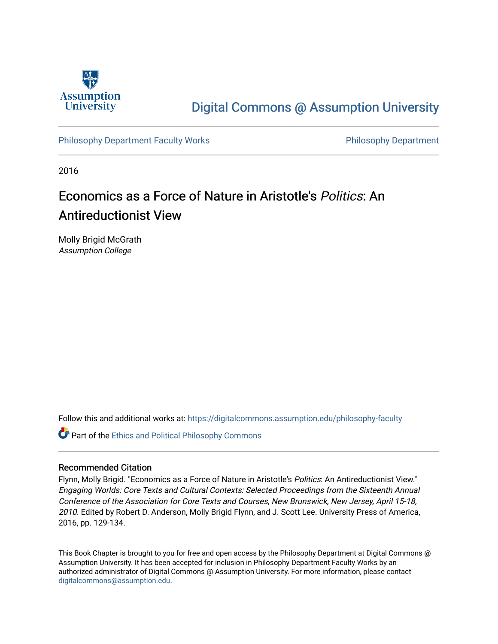

## [Digital Commons @ Assumption University](https://digitalcommons.assumption.edu/)

### [Philosophy Department Faculty Works](https://digitalcommons.assumption.edu/philosophy-faculty) **Philosophy Department** Philosophy Department

2016

# Economics as a Force of Nature in Aristotle's Politics: An Antireductionist View

Molly Brigid McGrath Assumption College

Follow this and additional works at: [https://digitalcommons.assumption.edu/philosophy-faculty](https://digitalcommons.assumption.edu/philosophy-faculty?utm_source=digitalcommons.assumption.edu%2Fphilosophy-faculty%2F15&utm_medium=PDF&utm_campaign=PDFCoverPages) 

Part of the [Ethics and Political Philosophy Commons](http://network.bepress.com/hgg/discipline/529?utm_source=digitalcommons.assumption.edu%2Fphilosophy-faculty%2F15&utm_medium=PDF&utm_campaign=PDFCoverPages) 

#### Recommended Citation

Flynn, Molly Brigid. "Economics as a Force of Nature in Aristotle's Politics: An Antireductionist View." Engaging Worlds: Core Texts and Cultural Contexts: Selected Proceedings from the Sixteenth Annual Conference of the Association for Core Texts and Courses, New Brunswick, New Jersey, April 15-18, 2010. Edited by Robert D. Anderson, Molly Brigid Flynn, and J. Scott Lee. University Press of America, 2016, pp. 129-134.

This Book Chapter is brought to you for free and open access by the Philosophy Department at Digital Commons @ Assumption University. It has been accepted for inclusion in Philosophy Department Faculty Works by an authorized administrator of Digital Commons @ Assumption University. For more information, please contact [digitalcommons@assumption.edu](mailto:digitalcommons@assumption.edu).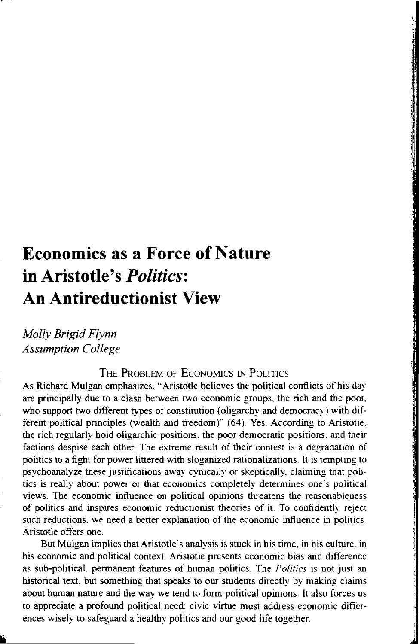# **Economics as a Force of Nature in Aristotle's** *Politics:*  **An Antireductionist View**

*Molly Brigid Flynn Assumption College* 

#### THE PROBLEM OF ECONOMICS IN POLITICS

i'I i  $\ddot{t}$ 

> ~l l .1 j

As Richard Mulgan emphasizes, "Aristotle believes the political conflicts of his day are principally due to a clash between two economic groups. the rich and the poor. who support two different types of constitution (oligarchy and democracy) with different political principles (wealth and freedom)" (64). Yes. According to Aristotle, the rich regularly hold oligarchic positions. the poor democratic positions. and their factions despise each other. The extreme result of their contest is a degradation of politics to a fight for power littered with sloganized rationalizations. lt is tempting to psychoanalyze these justifications away cynically or skeptically. claiming that politics is really about power or that economics completely determines one's political views. The economic influence on political opinions threatens the reasonableness of politics and inspires economic reductionist theories of it. To confidently reject such reductions. we need a better explanation of the economic influence in politics Aristotle offers one.

But Mulgan implies that Aristotle's analysis is stuck in his time, in his culture, in his economic and political context. Aristotle presents economic bias and difference as sub-political. permanent features of human politics. The *Politics* is not just an historical text, but something that speaks to our students directly by making claims about human nature and the way we tend to form political opinions. It also forces us to appreciate a profound political need: civic virtue must address economic differences wisely to safeguard a healthy politics and our good life together.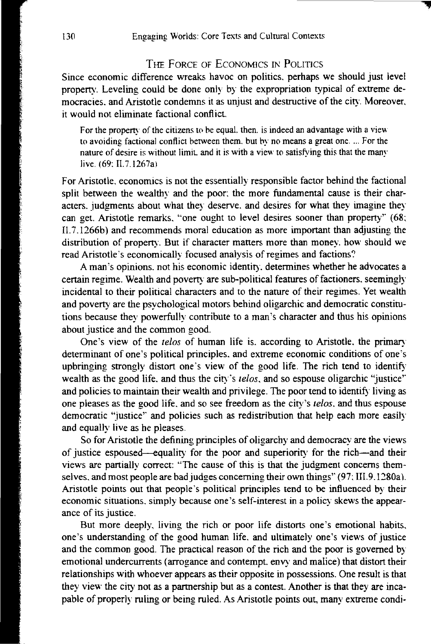#### THE FORCE OF ECONOMICS IN POLITICS

Since economic difference wreaks havoc on politics. perhaps we should just level property. Leveling could be done only by the expropriation typical of extreme democracies. and Aristotle condemns it as unjust and destructive of the city. Moreover. it would not eliminate factional conflict.

For the property of the citizens to be equal. then. is indeed an advantage with a view to avoiding factional conflict between them. but by no means a great one .... For the nature of desire is without limit, and it is with a view to satisfying this that the many live. (69: II.7.1267a)

For Aristotle. economics is not the essentially responsible factor behind the factional split between the wealthy and the poor: the more fundamental cause is their characters. judgments about what they deserve. and desires for what they imagine they can get. Aristotle remarks. "one ought to level desires sooner than property" (68; Il.7.1266b) and recommends moral education as more important than adjusting the distribution of property. But if character matters more than money. how should we read Aristotle's economically focused analysis of regimes and factions?

A man's opinions. not his economic identit). determines whether he advocates a certain regime. Wealth and poverty are sub-political features of factioners, seemingly incidental to their political characters and to the nature of their regimes. Yet wealth and poverty are the psychological motors behind oligarchic and democratic constitutions because they powerfully contribute to a man's character and thus his opinions about justice and the common good.

One's view of the *telos* of human life is. according to Aristotle. the primary determinant of one's political principles. and extreme economic conditions of one's upbringing strongly distort one's view of the good life. The rich tend to identify wealth as the good life. and thus the city"s *telos.* and so espouse oligarchic "justice'" and policies to maintain their wealth and privilege. The poor tend to identify living as one pleases as the good life. and so see freedom as the city's *telos.* and thus espouse democratic "justice" and policies such as redistribution that help each more easily and equally live as he pleases.

So for Aristotle the defining principles of oligarchy and democracy are the views of justice espoused-equality for the poor and superiority for the rich-and their views are partially correct: "The cause of this is that the judgment concerns themselves, and most people are bad judges concerning their own things" (97; III.9.1280a). Aristotle points out that people's political principles tend to be influenced by their economic situations. simply because one's self-interest in a policy skews the appearance of its justice.

But more deeply. living the rich or poor life distorts one's emotional habits. one's understanding of the good human life. and ultimately one's views of justice and the common good. The practical reason of the rich and the poor is governed by emotional undercurrents (arrogance and contempt. envy and malice) that distort their relationships with whoever appears as their opposite in possessions. One result is that they view the city not as a partnership but as a contest. Another is that they are incapable of properly ruling or being ruled. As Aristotle points out, many extreme condi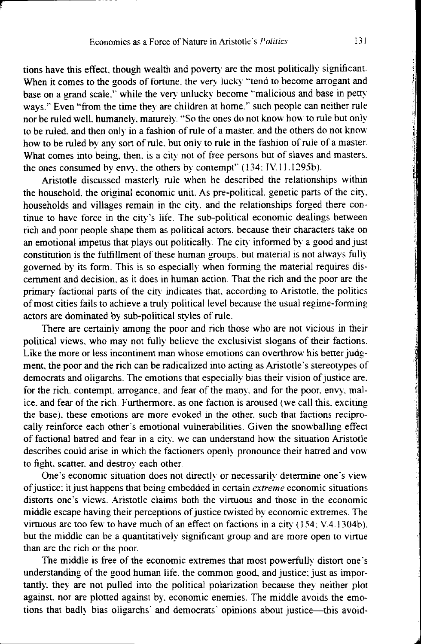tions have this effect, though wealth and poverty are the most politically significant. When it comes to the goods of fortune. the very lucky "tend to become arrogant and base on a grand scale." while the very unlucky become "malicious and base in petty ways." Even "from the time they are children at home." such people can neither rule nor be ruled well. humanely, maturely. "So the ones do not know how to rule but only to be ruled. and then only in a fashion of rule of a master. and the others do not know how to be ruled by any sort of rule. but only to rule in the fashion of rule of a master. What comes into being, then. is a city not of free persons but of slaves and masters. the ones consumed by envy, the others by contempt"  $(134:IV.11.1295b)$ .

Aristotle discussed masterly rule when he described the relationships within the household, the original economic unit. As pre-political. genetic parts of the city, households and villages remain in the city. and the relationships forged there continue to have force in the city's life. The sub-political economic dealings between rich and poor people shape them as political actors. because their characters take on an emotional impetus that plays out politically. The city informed by a good and just constitution is the fulfillment of these human groups. but material is not always fully governed by its form. This is so especially when forming the material requires discernment and decision. as it does in human action. That the rich and the poor are the primary factional parts of the city indicates that. according to Aristotle. the politics of most cities fails to achieve a truly political level because the usual regime-forming actors are dominated by sub-political styles of rule.

There are certainly among the poor and rich those who are not vicious in their political views, who may not fully believe the exclusivist slogans of their factions. Like the more or less incontinent man whose emotions can overthrow his better judgment, the poor and the rich can be radicalized into acting as Aristotle's stereotypes of democrats and oligarchs. The emotions that especially bias their vision of justice are. for the rich. contempt. arrogance. and fear of the many. and for the poor. envy. malice. and fear of the rich. Furthermore. as one faction is aroused (we call this. exciting the base). these emotions are more evoked in the other. such that factions reciprocally reinforce each other's emotional vulnerabilities. Given the snowballing effect of factional hatred and fear in a city. we can understand how the situation Aristotle describes could arise in which the factioners openly pronounce their hatred and vow to fight. scatter. and destroy each other.

One's economic situation does not directly or necessarily determine one's view of justice: it just happens that being embedded in certain *extreme* economic situations distorts one's views. Aristotle claims both the virtuous and those in the economic middle escape having their perceptions of justice twisted by economic extremes. The virtuous are too few to have much of an effect on factions in a city (154: V.4.1304b). but the middle can be a quantitatively significant group and are more open to virtue than are the rich or the poor.

The middle is free of the economic extremes that most powerfully distort one's understanding of the good human life, the common good. and justice: just as importantly. they are not pulled into the political polarization because they neither plot against. nor are plotted against by. economic enemies. The middle avoids the emotions that badly bias oligarchs' and democrats' opinions about justice-this avoid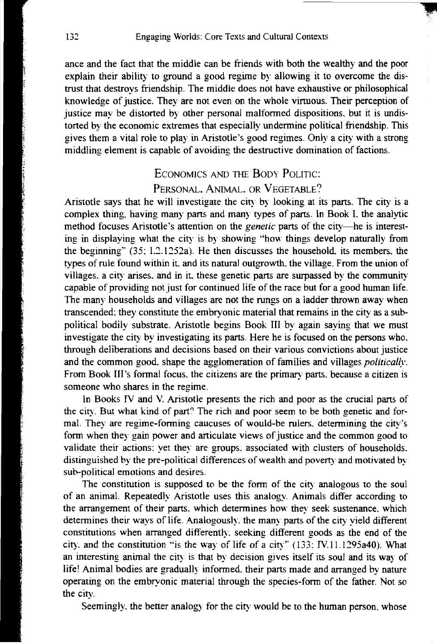ance and the fact that the middle can be friends with both the wealthy and the poor explain their ability to ground a good regime by allowing it to overcome the distrust that destroys friendship. The middle does not have exhaustive or philosophical knowledge of justice. They are not even on the whole virtuous. Their perception of justice may be distorted by other personal malformed dispositions, but it is undistorted by the economic extremes that especially undermine political friendship. This gives them a vital role to play in Aristotle's good regimes. Only a city with a strong middling element is capable of avoiding the destructive domination of factions.

### ECONOMICS AND THE BODY POLITIC:

### PERSONAL. ANIMAL. OR VEGETABLE?

Aristotle says that he will investigate the city by looking at its parts. The city is a complex thing. having many parts and many types of parts. ln Book I. the analytic method focuses Aristotle's attention on the *genetic* parts of the city-he is interesting in displaying what the city is by showing "how things develop naturally from the beginning'· (35: l.2.1252a). He then discusses the household. its members. the types of rule found within it. and its natural outgrowth. the village. From the union of villages. a city arises. and in it. these genetic parts are surpassed by the community capable of providing not just for continued life of the race but for a good human life. The many households and villages are not the rungs on a iadder thrown away when transcended: they constitute the embryonic material that remains in the city as a subpolitical bodily substrate. Aristotle begins Book Ill by again saying that we must investigate the city by investigating its parts. Here he is focused on the persons who. through deliberations and decisions based on their various convictions about justice and the common good, shape the agglomeration of families and villages *politically*. From Book III's formal focus. the citizens are the primary parts. because a citizen is someone who shares in the regime.

In Books TV and V. Aristotle presents the rich and poor as the crucial parts of the city. But what kind of part? The rich and poor seem to be both genetic and formal. They are regime-forming caucuses of would-be rulers. determining the city's form when they gain power and articulate views of justice and the common good to validate their actions: yet they are groups. associated with clusters of households. distinguished by the pre-political differences of wealth and poverty and motivated by sub-political emotions and desires.

The constitution is supposed to be the form of the city analogous to the soul of an animal. Repeatedly Aristotle uses this analogy. Animals differ according to the arrangement of their parts. which determines how they seek sustenance. which determines their ways of life. Analogously. the many parts of the city yield different constitutions when arranged differently. seeking different goods as the end of the city. and the constitution "is the way of life of a city" (133: IV.11.1295a40). What an interesting animal the city is that by decision gives itself its soul and its way of life! Animal bodies are gradually informed. their parts made and arranged by nature operating on the embryonic material through the species-form of the father. Not so the city.

Seemingly. the better analogy for the city would be to the human person. whose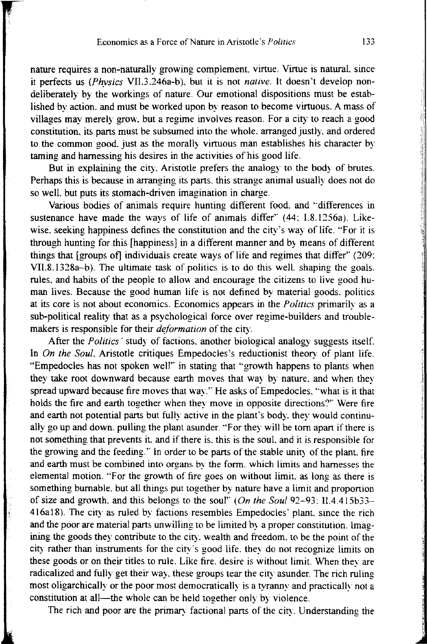nature requires a non-naturally growing complement. virtue. Virtue is natural. since it perfects us *(Physics* VIL3.246a-b). but it is not *native.* lt doesn't develop nondeliberately by the workings of nature. Our emotional dispositions must be established by action. and must be worked upon by reason to become virtuous. A mass of villages may merely grow. but a regime involves reason. For a city to reach a good constitution. its parts must be subsumed into the whole. arranged justly. and ordered to the common good. just as the morally virtuous man establishes his character by taming and harnessing his desires in the activities of his good life.

But in explaining the city. Aristotle prefers the analogy to the body of brutes. Perhaps this is because in arranging its pans. this strange animal usually does not do so well. but puts its stomach-driven imagination in charge.

Various bodies of animals require hunting different food, and "differences in sustenance have made the ways of life of animals differ" (44: 1.8.1256a). Likewise. seeking happiness defines the constitution and the city's way of life. "For it is through hunting for this [happiness] in a different manner and by means of different things that [groups of] individuals create ways of life and regimes that differ" (209: VII.8.1328a-b). The ultimate task of politics is to do this well. shaping the goals. rules. and habits of the people to allow and encourage the citizens to live good human lives. Because the good human life is not defined by material goods. politics at its core is not about economics. Economics appears in the *Politics* primarily as a sub-political reality that as a psychological force over regime-builders and troublemakers is responsible for their *deformation* of the city.

After the *Politics* · study of factions. another biological analogy suggests itself. ln *On the Soul.* Aristotle critiques Empedocles's reductionist theory of plant life. "Empedocles has not spoken well" in stating that "growth happens to plants when they take root downward because earth moves that way by nature. and when they spread upward because fire moves that way." He asks of Empedocles, "what is it that holds the fire and earth together when they move in opposite directions?'" Were fire and earth not potential parts but fully active in the plant's body. they would continually go up and down, pulling the plant asunder. "For they will be torn apart if there is not something that prevents it. and if there is. this is the soul. and it is responsible for the growing and the feeding." In order to be parts of the stable unity of the plant, fire and earth must be combined into organs by the form. which limits and harnesses the elemental motion. "For the growth of fire goes on without limit. as long as there is something burnable. but all things put together by nature have a limit and proportion of size and growth, and this belongs to the soul" (On the Soul 92-93: IL4.415b33-416al 8). The city as ruled by factions resembles Empedocles' plant. since the rich and the poor are material parts unwilling to be limited by a proper constitution. Imagining the goods they contribute to the city. wealth and freedom. to be the point of the city rather than instruments for the city's good life. they do not recognize limits on these goods or on their titles to rule. Like fire. desire is without limit. When they are radicalized and fully get their way. these groups tear the city asunder. The rich ruling most oligarchically or the poor most democratically is a tyranny and practically not a constitution at all-the whole can be held together only by violence.

The rich and poor are the primary factional parts of the city. Understanding the